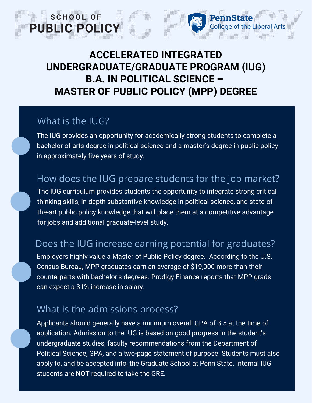# **ACCELERATED INTEGRATED UNDERGRADUATE/GRADUATE PROGRAM (IUG) B.A. IN POLITICAL SCIENCE – MASTER OF PUBLIC POLICY (MPP) DEGREE**

PennState

College of the Liberal Arts

## What is the IUG?

SCHOOL OF

PUBLIC POLICY

The IUG provides an opportunity for academically strong students to complete a bachelor of arts degree in political science and a master's degree in public policy in approximately five years of study.

# How does the IUG prepare students for the job market?

The IUG curriculum provides students the opportunity to integrate strong critical thinking skills, in-depth substantive knowledge in political science, and state-ofthe-art public policy knowledge that will place them at a competitive advantage for jobs and additional graduate-level study.

# Does the IUG increase earning potential for graduates?

Employers highly value a Master of Public Policy degree. According to the U.S. Census Bureau, MPP graduates earn an average of \$19,000 more than their counterparts with bachelor's degrees. Prodigy Finance reports that MPP grads can expect a 31% increase in salary.

# What is the admissions process?

Applicants should generally have a minimum overall GPA of 3.5 at the time of application. Admission to the IUG is based on good progress in the student's undergraduate studies, faculty recommendations from the Department of Political Science, GPA, and a two-page statement of purpose. Students must also apply to, and be accepted into, the Graduate School at Penn State. Internal IUG students are **NOT** required to take the GRE.